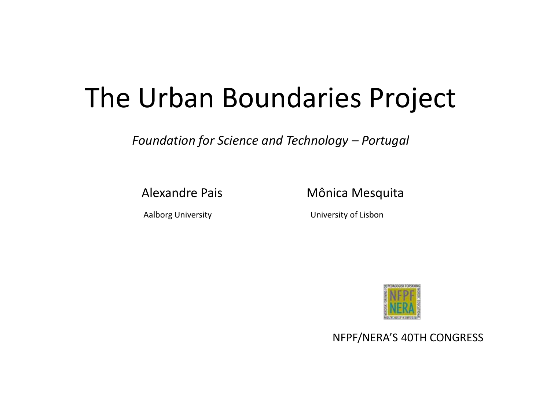# The Urban Boundaries Project

*Foundation for Science and Technology – Portugal*

Alexandre Pais Mônica Mesquita

Aalborg University University of Lisbon



NFPF/NERA'S 40TH CONGRESS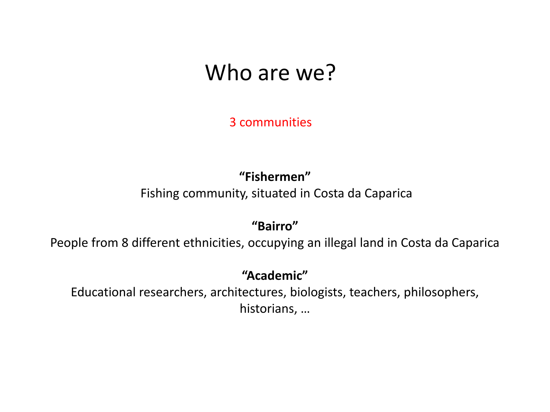### Who are we?

3 communities

#### **"Fishermen"**

Fishing community, situated in Costa da Caparica

**"Bairro"**

People from 8 different ethnicities, occupying an illegal land in Costa da Caparica

#### **"Academic"**

Educational researchers, architectures, biologists, teachers, philosophers, historians, …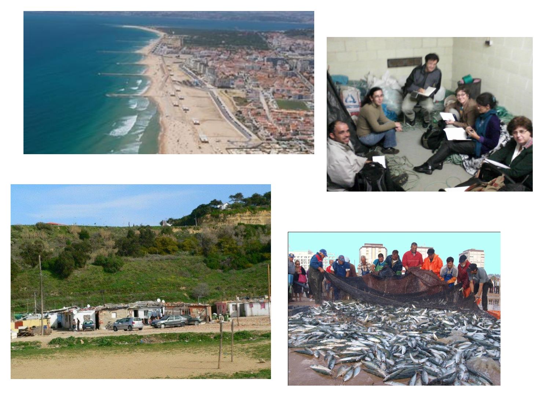





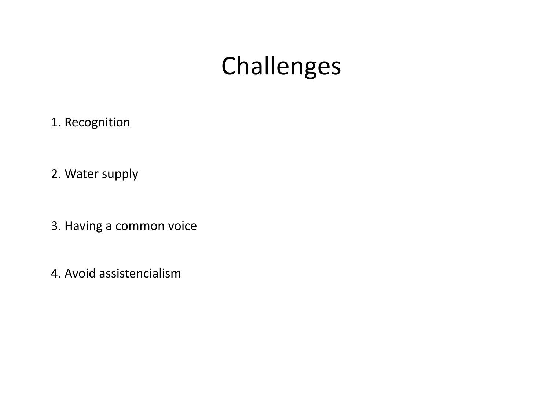## Challenges

#### 1. Recognition

2. Water supply

3. Having a common voice

4. Avoid assistencialism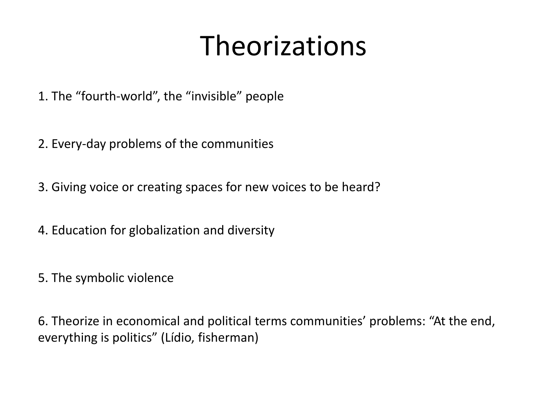# Theorizations

- 1. The "fourth-world", the "invisible" people
- 2. Every-day problems of the communities
- 3. Giving voice or creating spaces for new voices to be heard?
- 4. Education for globalization and diversity
- 5. The symbolic violence

6. Theorize in economical and political terms communities' problems: "At the end, everything is politics" (Lídio, fisherman)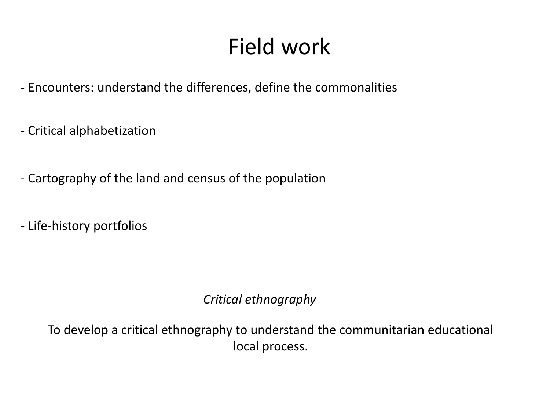### Field work

- Encounters: understand the differences, define the commonalities
- Critical alphabetization
- Cartography of the land and census of the population
- Life-history portfolios

#### *Critical ethnography*

To develop a critical ethnography to understand the communitarian educational local process.